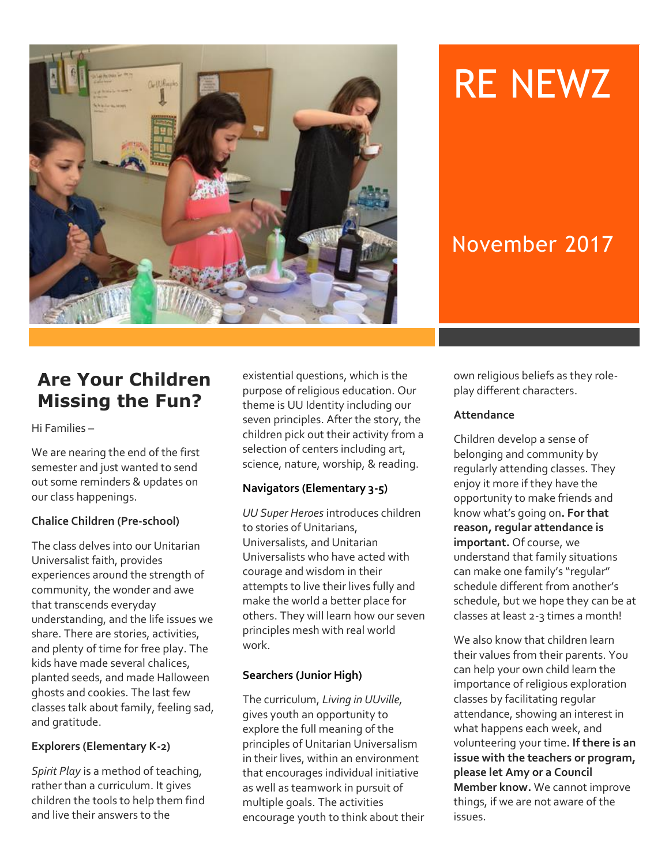

# RE NEWZ

## November 2017

## **Are Your Children Missing the Fun?**

Hi Families –

We are nearing the end of the first semester and just wanted to send out some reminders & updates on our class happenings.

#### **Chalice Children (Pre-school)**

The class delves into our Unitarian Universalist faith, provides experiences around the strength of community, the wonder and awe that transcends everyday understanding, and the life issues we share. There are stories, activities, and plenty of time for free play. The kids have made several chalices, planted seeds, and made Halloween ghosts and cookies. The last few classes talk about family, feeling sad, and gratitude.

#### **Explorers (Elementary K-2)**

*Spirit Play* is a method of teaching, rather than a curriculum. It gives children the tools to help them find and live their answers to the

existential questions, which is the purpose of religious education. Our theme is UU Identity including our seven principles. After the story, the children pick out their activity from a selection of centers including art, science, nature, worship, & reading.

#### **Navigators (Elementary 3-5)**

*UU Super Heroes* introduces children to stories of Unitarians, Universalists, and Unitarian Universalists who have acted with courage and wisdom in their attempts to live their lives fully and make the world a better place for others. They will learn how our seven principles mesh with real world work.

#### **Searchers (Junior High)**

The curriculum, *Living in UUville,*  gives youth an opportunity to explore the full meaning of the principles of Unitarian Universalism in their lives, within an environment that encourages individual initiative as well as teamwork in pursuit of multiple goals. The activities encourage youth to think about their own religious beliefs as they roleplay different characters.

#### **Attendance**

Children develop a sense of belonging and community by regularly attending classes. They enjoy it more if they have the opportunity to make friends and know what's going on**. For that reason, regular attendance is important.** Of course, we understand that family situations can make one family's "regular" schedule different from another's schedule, but we hope they can be at classes at least 2-3 times a month!

We also know that children learn their values from their parents. You can help your own child learn the importance of religious exploration classes by facilitating regular attendance, showing an interest in what happens each week, and volunteering your time**. If there is an issue with the teachers or program, please let Amy or a Council Member know.** We cannot improve things, if we are not aware of the issues.